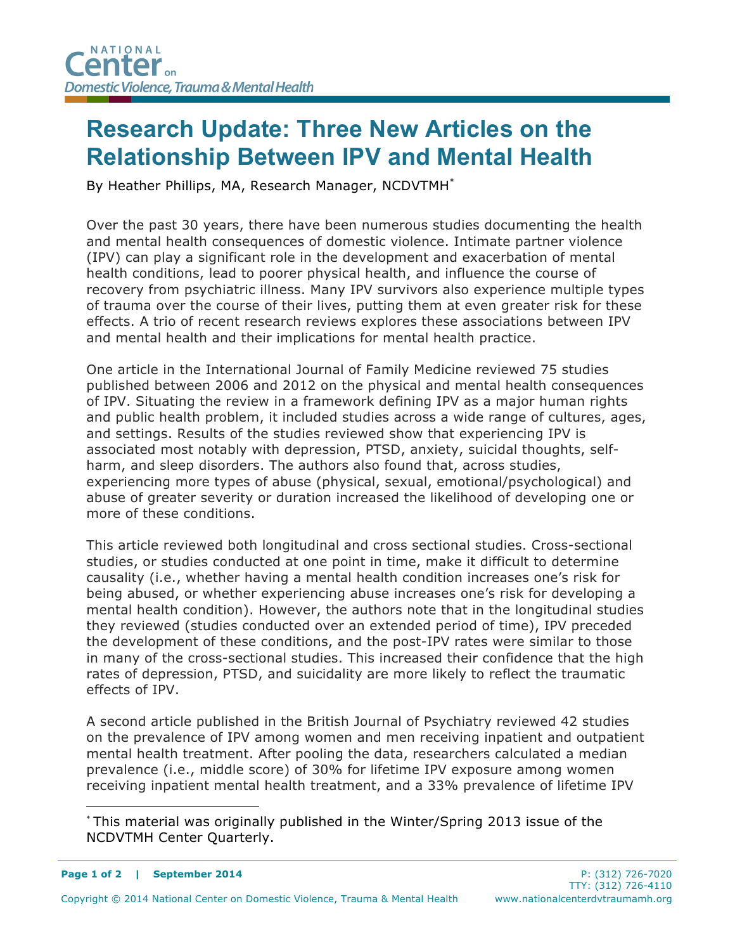## **Research Update: Three New Articles on the Relationship Between IPV and Mental Health**

By Heather Phillips, MA, Research Manager, NCDVTMH\*

Over the past 30 years, there have been numerous studies documenting the health and mental health consequences of domestic violence. Intimate partner violence (IPV) can play a significant role in the development and exacerbation of mental health conditions, lead to poorer physical health, and influence the course of recovery from psychiatric illness. Many IPV survivors also experience multiple types of trauma over the course of their lives, putting them at even greater risk for these effects. A trio of recent research reviews explores these associations between IPV and mental health and their implications for mental health practice.

One article in the International Journal of Family Medicine reviewed 75 studies published between 2006 and 2012 on the physical and mental health consequences of IPV. Situating the review in a framework defining IPV as a major human rights and public health problem, it included studies across a wide range of cultures, ages, and settings. Results of the studies reviewed show that experiencing IPV is associated most notably with depression, PTSD, anxiety, suicidal thoughts, selfharm, and sleep disorders. The authors also found that, across studies, experiencing more types of abuse (physical, sexual, emotional/psychological) and abuse of greater severity or duration increased the likelihood of developing one or more of these conditions.

This article reviewed both longitudinal and cross sectional studies. Cross-sectional studies, or studies conducted at one point in time, make it difficult to determine causality (i.e., whether having a mental health condition increases one's risk for being abused, or whether experiencing abuse increases one's risk for developing a mental health condition). However, the authors note that in the longitudinal studies they reviewed (studies conducted over an extended period of time), IPV preceded the development of these conditions, and the post-IPV rates were similar to those in many of the cross-sectional studies. This increased their confidence that the high rates of depression, PTSD, and suicidality are more likely to reflect the traumatic effects of IPV.

A second article published in the British Journal of Psychiatry reviewed 42 studies on the prevalence of IPV among women and men receiving inpatient and outpatient mental health treatment. After pooling the data, researchers calculated a median prevalence (i.e., middle score) of 30% for lifetime IPV exposure among women receiving inpatient mental health treatment, and a 33% prevalence of lifetime IPV

 <sup>\*</sup> This material was originally published in the Winter/Spring 2013 issue of the NCDVTMH Center Quarterly.